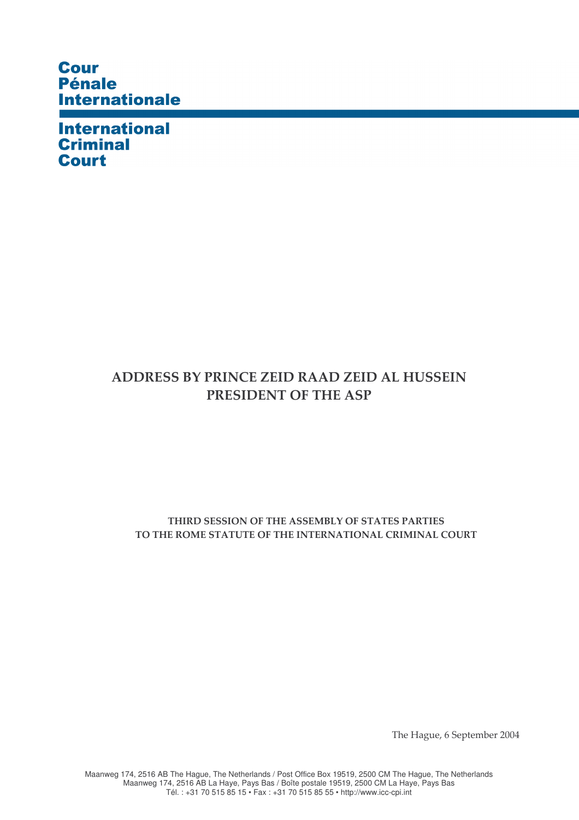## **Cour** Pénale **Internationale**

**International Criminal Court** 

## ADDRESS BY PRINCE ZEID RAAD ZEID AL HUSSEIN PRESIDENT OF THE ASP

## THIRD SESSION OF THE ASSEMBLY OF STATES PARTIES TO THE ROME STATUTE OF THE INTERNATIONAL CRIMINAL COURT

The Hague, 6 September 2004